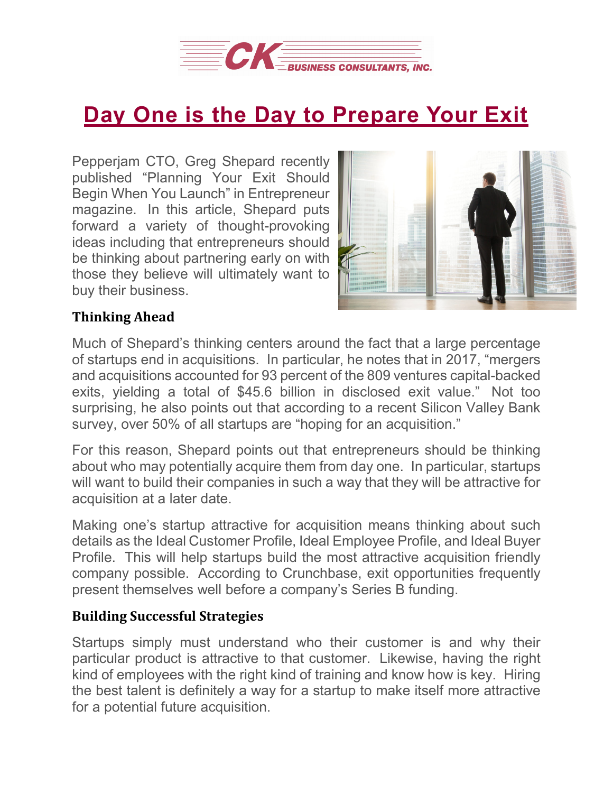

## **Day One is the Day to [Prepare](https://deal-studio.com/day-one-is-the-day-to-prepare-your-exit/) Your Exit**

Pepperjam CTO, Greg Shepard recently published "Planning Your Exit Should Begin When You Launch" in Entrepreneur magazine. In this article, Shepard puts forward a variety of thought-provoking ideas including that entrepreneurs should be thinking about partnering early on with those they believe will ultimately want to buy their business.



## **Thinking Ahead**

Much of Shepard's thinking centers around the fact that a large percentage of startups end in acquisitions. In particular, he notes that in 2017, "mergers and acquisitions accounted for 93 percent of the 809 ventures capital-backed exits, yielding a total of \$45.6 billion in disclosed exit value." Not too surprising, he also points out that according to a recent Silicon Valley Bank survey, over 50% of all startups are "hoping for an acquisition."

For this reason, Shepard points out that entrepreneurs should be thinking about who may potentially acquire them from day one. In particular, startups will want to build their companies in such a way that they will be attractive for acquisition at a later date.

Making one's startup attractive for acquisition means thinking about such details as the Ideal Customer Profile, Ideal Employee Profile, and Ideal Buyer Profile. This will help startups build the most attractive acquisition friendly company possible. According to Crunchbase, exit opportunities frequently present themselves well before a company's Series B funding.

## **Building Successful Strategies**

Startups simply must understand who their customer is and why their particular product is attractive to that customer. Likewise, having the right kind of employees with the right kind of training and know how is key. Hiring the best talent is definitely a way for a startup to make itself more attractive for a potential future acquisition.